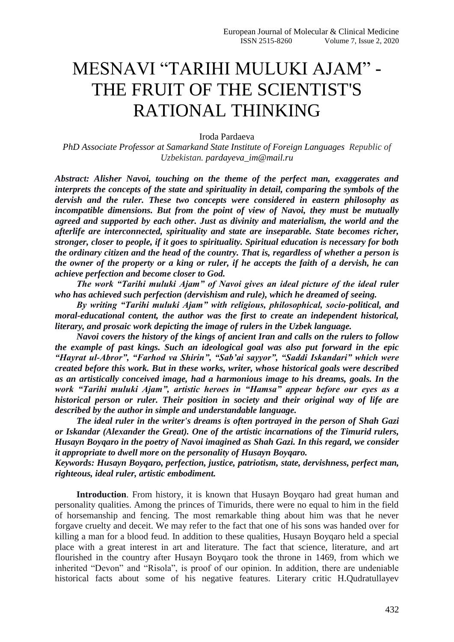# MESNAVI "TARIHI MULUKI AJAM" - THE FRUIT OF THE SCIENTIST'S RATIONAL THINKING

Iroda Pardaeva

*PhD Associate Professor at Samarkand State Institute of Foreign Languages Republic of Uzbekistan. pardayeva\_im@mail.ru* 

*Abstract: Alisher Navoi, touching on the theme of the perfect man, exaggerates and interprets the concepts of the state and spirituality in detail, comparing the symbols of the dervish and the ruler. These two concepts were considered in eastern philosophy as incompatible dimensions. But from the point of view of Navoi, they must be mutually agreed and supported by each other. Just as divinity and materialism, the world and the afterlife are interconnected, spirituality and state are inseparable. State becomes richer, stronger, closer to people, if it goes to spirituality. Spiritual education is necessary for both the ordinary citizen and the head of the country. That is, regardless of whether a person is the owner of the property or a king or ruler, if he accepts the faith of a dervish, he can achieve perfection and become closer to God.*

*The work "Tarihi muluki Ajam" of Navoi gives an ideal picture of the ideal ruler who has achieved such perfection (dervishism and rule), which he dreamed of seeing.*

*By writing "Tarihi muluki Ajam" with religious, philosophical, socio-political, and moral-educational content, the author was the first to create an independent historical, literary, and prosaic work depicting the image of rulers in the Uzbek language.*

*Navoi covers the history of the kings of ancient Iran and calls on the rulers to follow the example of past kings. Such an ideological goal was also put forward in the epic "Hayrat ul-Abror", "Farhod va Shirin", "Sab'ai sayyor", "Saddi Iskandari" which were created before this work. But in these works, writer, whose historical goals were described as an artistically conceived image, had a harmonious image to his dreams, goals. In the work "Tarihi muluki Ajam", artistic heroes in "Hamsa" appear before our eyes as a historical person or ruler. Their position in society and their original way of life are described by the author in simple and understandable language.*

*The ideal ruler in the writer's dreams is often portrayed in the person of Shah Gazi or Iskandar (Alexander the Great). One of the artistic incarnations of the Timurid rulers, Husayn Boyqaro in the poetry of Navoi imagined as Shah Gazi. In this regard, we consider it appropriate to dwell more on the personality of Husayn Boyqaro.*

*Keywords: Husayn Boyqaro, perfection, justice, patriotism, state, dervishness, perfect man, righteous, ideal ruler, artistic embodiment.*

**Introduction**. From history, it is known that Husayn Boyqaro had great human and personality qualities. Among the princes of Timurids, there were no equal to him in the field of horsemanship and fencing. The most remarkable thing about him was that he never forgave cruelty and deceit. We may refer to the fact that one of his sons was handed over for killing a man for a blood feud. In addition to these qualities, Husayn Boyqaro held a special place with a great interest in art and literature. The fact that science, literature, and art flourished in the country after Husayn Boyqaro took the throne in 1469, from which we inherited "Devon" and "Risola", is proof of our opinion. In addition, there are undeniable historical facts about some of his negative features. Literary critic H.Qudratullayev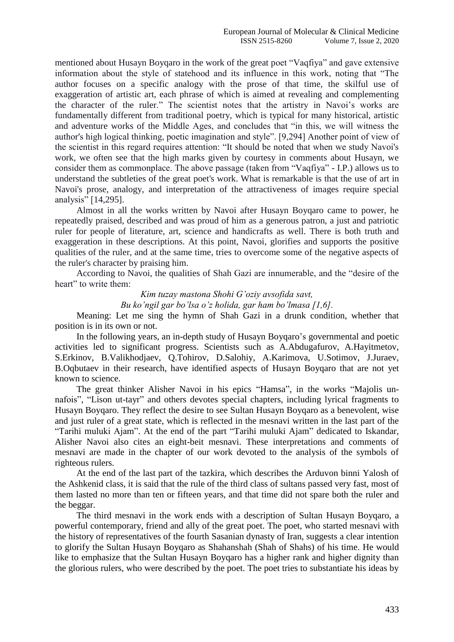mentioned about Husayn Boyqaro in the work of the great poet "Vaqfiya" and gave extensive information about the style of statehood and its influence in this work, noting that "The author focuses on a specific analogy with the prose of that time, the skilful use of exaggeration of artistic art, each phrase of which is aimed at revealing and complementing the character of the ruler." The scientist notes that the artistry in Navoi's works are fundamentally different from traditional poetry, which is typical for many historical, artistic and adventure works of the Middle Ages, and concludes that "in this, we will witness the author's high logical thinking, poetic imagination and style". [9,294] Another point of view of the scientist in this regard requires attention: "It should be noted that when we study Navoi's work, we often see that the high marks given by courtesy in comments about Husayn, we consider them as commonplace. The above passage (taken from "Vaqfiya" - I.P.) allows us to understand the subtleties of the great poet's work. What is remarkable is that the use of art in Navoi's prose, analogy, and interpretation of the attractiveness of images require special analysis" [14,295].

Almost in all the works written by Navoi after Husayn Boyqaro came to power, he repeatedly praised, described and was proud of him as a generous patron, a just and patriotic ruler for people of literature, art, science and handicrafts as well. There is both truth and exaggeration in these descriptions. At this point, Navoi, glorifies and supports the positive qualities of the ruler, and at the same time, tries to overcome some of the negative aspects of the ruler's character by praising him.

According to Navoi, the qualities of Shah Gazi are innumerable, and the "desire of the heart" to write them:

*Kim tuzay mastona Shohi G'oziy avsofida savt,*

*Bu ko'ngil gar bo'lsa o'z holida, gar ham bo'lmasa [1,6].*

Meaning: Let me sing the hymn of Shah Gazi in a drunk condition, whether that position is in its own or not.

In the following years, an in-depth study of Husayn Boyqaro's governmental and poetic activities led to significant progress. Scientists such as A.Abdugafurov, A.Hayitmetov, S.Erkinov, B.Valikhodjaev, Q.Tohirov, D.Salohiy, A.Karimova, U.Sotimov, J.Juraev, B.Oqbutaev in their research, have identified aspects of Husayn Boyqaro that are not yet known to science.

The great thinker Alisher Navoi in his epics "Hamsa", in the works "Majolis unnafois", "Lison ut-tayr" and others devotes special chapters, including lyrical fragments to Husayn Boyqaro. They reflect the desire to see Sultan Husayn Boyqaro as a benevolent, wise and just ruler of a great state, which is reflected in the mesnavi written in the last part of the "Tarihi muluki Ajam". At the end of the part "Tarihi muluki Ajam" dedicated to Iskandar, Alisher Navoi also cites an eight-beit mesnavi. These interpretations and comments of mesnavi are made in the chapter of our work devoted to the analysis of the symbols of righteous rulers.

At the end of the last part of the tazkira, which describes the Arduvon binni Yalosh of the Ashkenid class, it is said that the rule of the third class of sultans passed very fast, most of them lasted no more than ten or fifteen years, and that time did not spare both the ruler and the beggar.

The third mesnavi in the work ends with a description of Sultan Husayn Boyqaro, a powerful contemporary, friend and ally of the great poet. The poet, who started mesnavi with the history of representatives of the fourth Sasanian dynasty of Iran, suggests a clear intention to glorify the Sultan Husayn Boyqaro as Shahanshah (Shah of Shahs) of his time. He would like to emphasize that the Sultan Husayn Boyqaro has a higher rank and higher dignity than the glorious rulers, who were described by the poet. The poet tries to substantiate his ideas by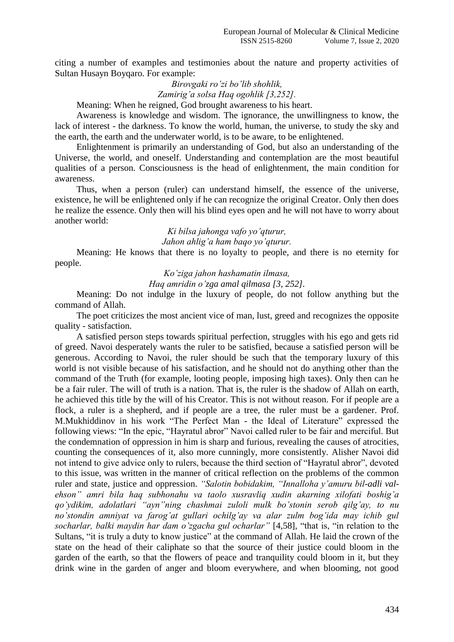citing a number of examples and testimonies about the nature and property activities of Sultan Husayn Boyqaro. For example:

> *Birovgaki ro'zi bo'lib shohlik, Zamirig'a solsa Haq ogohlik [3,252].*

Meaning: When he reigned, God brought awareness to his heart.

Awareness is knowledge and wisdom. The ignorance, the unwillingness to know, the lack of interest - the darkness. To know the world, human, the universe, to study the sky and the earth, the earth and the underwater world, is to be aware, to be enlightened.

Enlightenment is primarily an understanding of God, but also an understanding of the Universe, the world, and oneself. Understanding and contemplation are the most beautiful qualities of a person. Consciousness is the head of enlightenment, the main condition for awareness.

Thus, when a person (ruler) can understand himself, the essence of the universe, existence, he will be enlightened only if he can recognize the original Creator. Only then does he realize the essence. Only then will his blind eyes open and he will not have to worry about another world:

> *Ki bilsa jahonga vafo yo'qturur, Jahon ahlig'a ham baqo yo'qturur.*

Meaning: He knows that there is no loyalty to people, and there is no eternity for people.

*Ko'ziga jahon hashamatin ilmasa,*

*Haq amridin o'zga amal qilmasa [3, 252].*

Meaning: Do not indulge in the luxury of people, do not follow anything but the command of Allah.

The poet criticizes the most ancient vice of man, lust, greed and recognizes the opposite quality - satisfaction.

A satisfied person steps towards spiritual perfection, struggles with his ego and gets rid of greed. Navoi desperately wants the ruler to be satisfied, because a satisfied person will be generous. According to Navoi, the ruler should be such that the temporary luxury of this world is not visible because of his satisfaction, and he should not do anything other than the command of the Truth (for example, looting people, imposing high taxes). Only then can he be a fair ruler. The will of truth is a nation. That is, the ruler is the shadow of Allah on earth, he achieved this title by the will of his Creator. This is not without reason. For if people are a flock, a ruler is a shepherd, and if people are a tree, the ruler must be a gardener. Prof. M.Mukhiddinov in his work "The Perfect Man - the Ideal of Literature" expressed the following views: "In the epic, "Hayratul abror" Navoi called ruler to be fair and merciful. But the condemnation of oppression in him is sharp and furious, revealing the causes of atrocities, counting the consequences of it, also more cunningly, more consistently. Alisher Navoi did not intend to give advice only to rulers, because the third section of "Hayratul abror", devoted to this issue, was written in the manner of critical reflection on the problems of the common ruler and state, justice and oppression. *"Salotin bobidakim, "Innalloha y'amuru bil-adli valehson" amri bila haq subhonahu va taolo xusravliq xudin akarning xilofati boshig'a qo'ydikim, adolatlari "ayn"ning chashmai zuloli mulk bo'stonin serob qilg'ay, to nu no'stondin amniyat va farog'at gullari ochilg'ay va alar zulm bog'ida may ichib gul socharlar, balki maydin har dam o'zgacha gul ocharlar"* [4,58], "that is, "in relation to the Sultans, "it is truly a duty to know justice" at the command of Allah. He laid the crown of the state on the head of their caliphate so that the source of their justice could bloom in the garden of the earth, so that the flowers of peace and tranquility could bloom in it, but they drink wine in the garden of anger and bloom everywhere, and when blooming, not good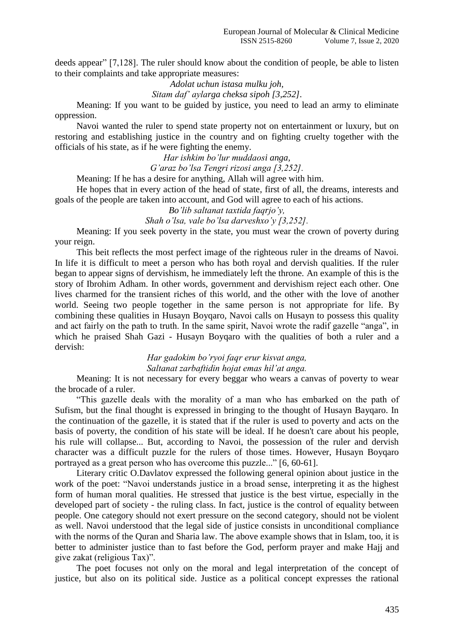deeds appear" [7,128]. The ruler should know about the condition of people, be able to listen to their complaints and take appropriate measures:

> *Adolat uchun istasa mulku joh, Sitam daf' aylarga cheksa sipoh [3,252].*

Meaning: If you want to be guided by justice, you need to lead an army to eliminate oppression.

Navoi wanted the ruler to spend state property not on entertainment or luxury, but on restoring and establishing justice in the country and on fighting cruelty together with the officials of his state, as if he were fighting the enemy.

> *Har ishkim bo'lur muddaosi anga, G'araz bo'lsa Tengri rizosi anga [3,252].*

Meaning: If he has a desire for anything, Allah will agree with him.

He hopes that in every action of the head of state, first of all, the dreams, interests and goals of the people are taken into account, and God will agree to each of his actions.

*Bo'lib saltanat taxtida faqrjo'y,*

*Shah o'lsa, vale bo'lsa darveshxo'y [3,252].*

Meaning: If you seek poverty in the state, you must wear the crown of poverty during your reign.

This beit reflects the most perfect image of the righteous ruler in the dreams of Navoi. In life it is difficult to meet a person who has both royal and dervish qualities. If the ruler began to appear signs of dervishism, he immediately left the throne. An example of this is the story of Ibrohim Adham. In other words, government and dervishism reject each other. One lives charmed for the transient riches of this world, and the other with the love of another world. Seeing two people together in the same person is not appropriate for life. By combining these qualities in Husayn Boyqaro, Navoi calls on Husayn to possess this quality and act fairly on the path to truth. In the same spirit, Navoi wrote the radif gazelle "anga", in which he praised Shah Gazi - Husayn Boyqaro with the qualities of both a ruler and a dervish:

> *Har gadokim bo'ryoi faqr erur kisvat anga, Saltanat zarbaftidin hojat emas hil'at anga.*

Meaning: It is not necessary for every beggar who wears a canvas of poverty to wear the brocade of a ruler.

"This gazelle deals with the morality of a man who has embarked on the path of Sufism, but the final thought is expressed in bringing to the thought of Husayn Bayqaro. In the continuation of the gazelle, it is stated that if the ruler is used to poverty and acts on the basis of poverty, the condition of his state will be ideal. If he doesn't care about his people, his rule will collapse... But, according to Navoi, the possession of the ruler and dervish character was a difficult puzzle for the rulers of those times. However, Husayn Boyqaro portrayed as a great person who has overcome this puzzle..." [6, 60-61].

Literary critic O.Davlatov expressed the following general opinion about justice in the work of the poet: "Navoi understands justice in a broad sense, interpreting it as the highest form of human moral qualities. He stressed that justice is the best virtue, especially in the developed part of society - the ruling class. In fact, justice is the control of equality between people. One category should not exert pressure on the second category, should not be violent as well. Navoi understood that the legal side of justice consists in unconditional compliance with the norms of the Quran and Sharia law. The above example shows that in Islam, too, it is better to administer justice than to fast before the God, perform prayer and make Hajj and give zakat (religious Tax)".

The poet focuses not only on the moral and legal interpretation of the concept of justice, but also on its political side. Justice as a political concept expresses the rational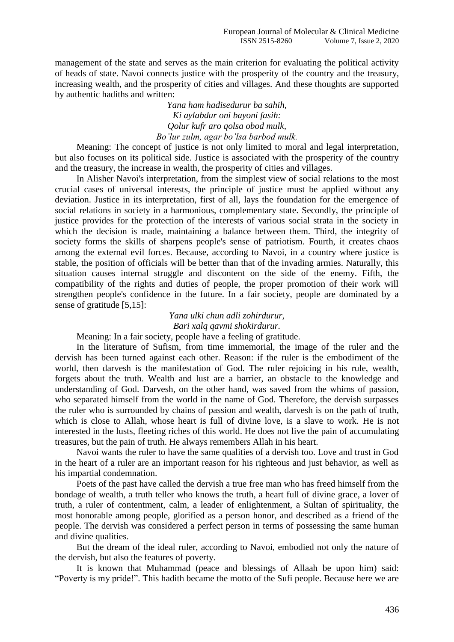management of the state and serves as the main criterion for evaluating the political activity of heads of state. Navoi connects justice with the prosperity of the country and the treasury, increasing wealth, and the prosperity of cities and villages. And these thoughts are supported by authentic hadiths and written:

> *Yana ham hadisedurur ba sahih, Ki aylabdur oni bayoni fasih: Qolur kufr aro qolsa obod mulk, Bo'lur zulm, agar bo'lsa barbod mulk.*

Meaning: The concept of justice is not only limited to moral and legal interpretation, but also focuses on its political side. Justice is associated with the prosperity of the country and the treasury, the increase in wealth, the prosperity of cities and villages.

In Alisher Navoi's interpretation, from the simplest view of social relations to the most crucial cases of universal interests, the principle of justice must be applied without any deviation. Justice in its interpretation, first of all, lays the foundation for the emergence of social relations in society in a harmonious, complementary state. Secondly, the principle of justice provides for the protection of the interests of various social strata in the society in which the decision is made, maintaining a balance between them. Third, the integrity of society forms the skills of sharpens people's sense of patriotism. Fourth, it creates chaos among the external evil forces. Because, according to Navoi, in a country where justice is stable, the position of officials will be better than that of the invading armies. Naturally, this situation causes internal struggle and discontent on the side of the enemy. Fifth, the compatibility of the rights and duties of people, the proper promotion of their work will strengthen people's confidence in the future. In a fair society, people are dominated by a sense of gratitude [5,15]:

## *Yana ulki chun adli zohirdurur, Bari xalq qavmi shokirdurur.*

Meaning: In a fair society, people have a feeling of gratitude.

In the literature of Sufism, from time immemorial, the image of the ruler and the dervish has been turned against each other. Reason: if the ruler is the embodiment of the world, then darvesh is the manifestation of God. The ruler rejoicing in his rule, wealth, forgets about the truth. Wealth and lust are a barrier, an obstacle to the knowledge and understanding of God. Darvesh, on the other hand, was saved from the whims of passion, who separated himself from the world in the name of God. Therefore, the dervish surpasses the ruler who is surrounded by chains of passion and wealth, darvesh is on the path of truth, which is close to Allah, whose heart is full of divine love, is a slave to work. He is not interested in the lusts, fleeting riches of this world. He does not live the pain of accumulating treasures, but the pain of truth. He always remembers Allah in his heart.

Navoi wants the ruler to have the same qualities of a dervish too. Love and trust in God in the heart of a ruler are an important reason for his righteous and just behavior, as well as his impartial condemnation.

Poets of the past have called the dervish a true free man who has freed himself from the bondage of wealth, a truth teller who knows the truth, a heart full of divine grace, a lover of truth, a ruler of contentment, calm, a leader of enlightenment, a Sultan of spirituality, the most honorable among people, glorified as a person honor, and described as a friend of the people. The dervish was considered a perfect person in terms of possessing the same human and divine qualities.

But the dream of the ideal ruler, according to Navoi, embodied not only the nature of the dervish, but also the features of poverty.

It is known that Muhammad (peace and blessings of Allaah be upon him) said: "Poverty is my pride!". This hadith became the motto of the Sufi people. Because here we are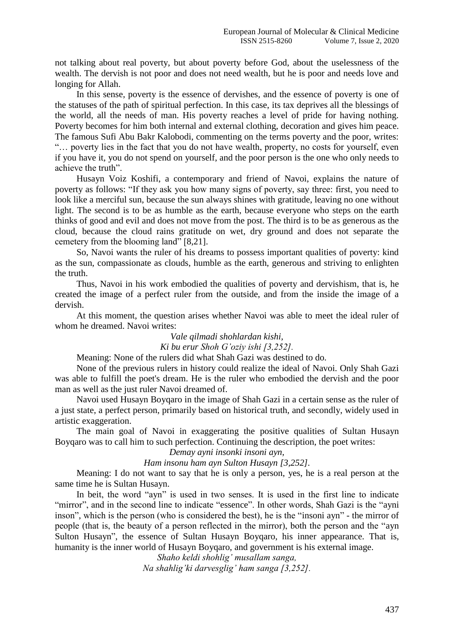not talking about real poverty, but about poverty before God, about the uselessness of the wealth. The dervish is not poor and does not need wealth, but he is poor and needs love and longing for Allah.

In this sense, poverty is the essence of dervishes, and the essence of poverty is one of the statuses of the path of spiritual perfection. In this case, its tax deprives all the blessings of the world, all the needs of man. His poverty reaches a level of pride for having nothing. Poverty becomes for him both internal and external clothing, decoration and gives him peace. The famous Sufi Abu Bakr Kalobodi, commenting on the terms poverty and the poor, writes: "… poverty lies in the fact that you do not have wealth, property, no costs for yourself, even if you have it, you do not spend on yourself, and the poor person is the one who only needs to achieve the truth".

Husayn Voiz Koshifi, a contemporary and friend of Navoi, explains the nature of poverty as follows: "If they ask you how many signs of poverty, say three: first, you need to look like a merciful sun, because the sun always shines with gratitude, leaving no one without light. The second is to be as humble as the earth, because everyone who steps on the earth thinks of good and evil and does not move from the post. The third is to be as generous as the cloud, because the cloud rains gratitude on wet, dry ground and does not separate the cemetery from the blooming land" [8,21].

So, Navoi wants the ruler of his dreams to possess important qualities of poverty: kind as the sun, compassionate as clouds, humble as the earth, generous and striving to enlighten the truth.

Thus, Navoi in his work embodied the qualities of poverty and dervishism, that is, he created the image of a perfect ruler from the outside, and from the inside the image of a dervish.

At this moment, the question arises whether Navoi was able to meet the ideal ruler of whom he dreamed. Navoi writes:

> *Vale qilmadi shohlardan kishi, Ki bu erur Shoh G'oziy ishi [3,252].*

Meaning: None of the rulers did what Shah Gazi was destined to do.

None of the previous rulers in history could realize the ideal of Navoi. Only Shah Gazi was able to fulfill the poet's dream. He is the ruler who embodied the dervish and the poor man as well as the just ruler Navoi dreamed of.

Navoi used Husayn Boyqaro in the image of Shah Gazi in a certain sense as the ruler of a just state, a perfect person, primarily based on historical truth, and secondly, widely used in artistic exaggeration.

The main goal of Navoi in exaggerating the positive qualities of Sultan Husayn Boyqaro was to call him to such perfection. Continuing the description, the poet writes:

#### *Demay ayni insonki insoni ayn,*

*Ham insonu ham ayn Sulton Husayn [3,252].*

Meaning: I do not want to say that he is only a person, yes, he is a real person at the same time he is Sultan Husayn.

In beit, the word "ayn" is used in two senses. It is used in the first line to indicate "mirror", and in the second line to indicate "essence". In other words, Shah Gazi is the "ayni inson", which is the person (who is considered the best), he is the "insoni ayn" - the mirror of people (that is, the beauty of a person reflected in the mirror), both the person and the "ayn Sulton Husayn", the essence of Sultan Husayn Boyqaro, his inner appearance. That is, humanity is the inner world of Husayn Boyqaro, and government is his external image.

*Shaho keldi shohlig' musallam sanga, Na shahlig'ki darvesglig' ham sanga [3,252].*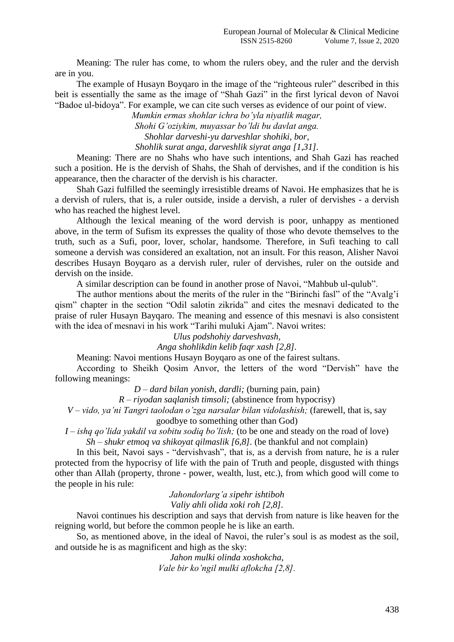Meaning: The ruler has come, to whom the rulers obey, and the ruler and the dervish are in you.

The example of Husayn Boyqaro in the image of the "righteous ruler" described in this beit is essentially the same as the image of "Shah Gazi" in the first lyrical devon of Navoi "Badoe ul-bidoya". For example, we can cite such verses as evidence of our point of view.

*Mumkin ermas shohlar ichra bo'yla niyatlik magar,*

*Shohi G'oziykim, muyassar bo'ldi bu davlat anga. Shohlar darveshi-yu darveshlar shohiki, bor, Shohlik surat anga, darveshlik siyrat anga [1,31].*

Meaning: There are no Shahs who have such intentions, and Shah Gazi has reached such a position. He is the dervish of Shahs, the Shah of dervishes, and if the condition is his appearance, then the character of the dervish is his character.

Shah Gazi fulfilled the seemingly irresistible dreams of Navoi. He emphasizes that he is a dervish of rulers, that is, a ruler outside, inside a dervish, a ruler of dervishes - a dervish who has reached the highest level.

Although the lexical meaning of the word dervish is poor, unhappy as mentioned above, in the term of Sufism its expresses the quality of those who devote themselves to the truth, such as a Sufi, poor, lover, scholar, handsome. Therefore, in Sufi teaching to call someone a dervish was considered an exaltation, not an insult. For this reason, Alisher Navoi describes Husayn Boyqaro as a dervish ruler, ruler of dervishes, ruler on the outside and dervish on the inside.

A similar description can be found in another prose of Navoi, "Mahbub ul-qulub".

The author mentions about the merits of the ruler in the "Birinchi fasl" of the "Avalg'i qism" chapter in the section "Odil salotin zikrida" and cites the mesnavi dedicated to the praise of ruler Husayn Bayqaro. The meaning and essence of this mesnavi is also consistent with the idea of mesnavi in his work "Tarihi muluki Ajam". Navoi writes:

*Ulus podshohiy darveshvash,*

*Anga shohlikdin kelib faqr xash [2,8].*

Meaning: Navoi mentions Husayn Boyqaro as one of the fairest sultans.

According to Sheikh Qosim Anvor, the letters of the word "Dervish" have the following meanings:

*D – dard bilan yonish, dardli;* (burning pain, pain)

*R – riyodan saqlanish timsoli;* (abstinence from hypocrisy)

*V – vido, ya'ni Tangri taolodan o'zga narsalar bilan vidolashish;* (farewell, that is, say goodbye to something other than God)

*I – ishq qo'lida yakdil va sobitu sodiq bo'lish;* (to be one and steady on the road of love) *Sh – shukr etmoq va shikoyat qilmaslik [6,8].* (be thankful and not complain)

In this beit, Navoi says - "dervishvash", that is, as a dervish from nature, he is a ruler protected from the hypocrisy of life with the pain of Truth and people, disgusted with things other than Allah (property, throne - power, wealth, lust, etc.), from which good will come to the people in his rule:

*Jahondorlarg'a sipehr ishtiboh*

*Valiy ahli olida xoki roh [2,8].*

Navoi continues his description and says that dervish from nature is like heaven for the reigning world, but before the common people he is like an earth.

So, as mentioned above, in the ideal of Navoi, the ruler's soul is as modest as the soil, and outside he is as magnificent and high as the sky:

> *Jahon mulki olinda xoshokcha, Vale bir ko'ngil mulki aflokcha [2,8].*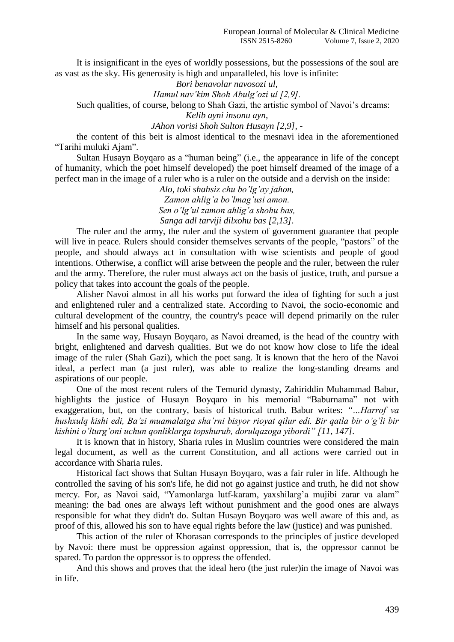It is insignificant in the eyes of worldly possessions, but the possessions of the soul are as vast as the sky. His generosity is high and unparalleled, his love is infinite:

*Bori benavolar navosozi ul,*

*Hamul nav'kim Shoh Abulg'ozi ul [2,9].*

Such qualities, of course, belong to Shah Gazi, the artistic symbol of Navoi's dreams:

*Kelib ayni insonu ayn,*

*JAhon vorisi Shoh Sulton Husayn [2,9],* -

the content of this beit is almost identical to the mesnavi idea in the aforementioned "Tarihi muluki Ajam".

Sultan Husayn Boyqaro as a "human being" (i.e., the appearance in life of the concept of humanity, which the poet himself developed) the poet himself dreamed of the image of a perfect man in the image of a ruler who is a ruler on the outside and a dervish on the inside:

*Alo, toki shahsiz chu bo'lg'ay jahon, Zamon ahlig'a bo'lmag'usi amon. Sen o'lg'ul zamon ahlig'a shohu bas, Sanga adl tarviji dilxohu bas [2,13].*

The ruler and the army, the ruler and the system of government guarantee that people will live in peace. Rulers should consider themselves servants of the people, "pastors" of the people, and should always act in consultation with wise scientists and people of good intentions. Otherwise, a conflict will arise between the people and the ruler, between the ruler and the army. Therefore, the ruler must always act on the basis of justice, truth, and pursue a policy that takes into account the goals of the people.

Alisher Navoi almost in all his works put forward the idea of fighting for such a just and enlightened ruler and a centralized state. According to Navoi, the socio-economic and cultural development of the country, the country's peace will depend primarily on the ruler himself and his personal qualities.

In the same way, Husayn Boyqaro, as Navoi dreamed, is the head of the country with bright, enlightened and darvesh qualities. But we do not know how close to life the ideal image of the ruler (Shah Gazi), which the poet sang. It is known that the hero of the Navoi ideal, a perfect man (a just ruler), was able to realize the long-standing dreams and aspirations of our people.

One of the most recent rulers of the Temurid dynasty, Zahiriddin Muhammad Babur, highlights the justice of Husayn Boyqaro in his memorial "Baburnama" not with exaggeration, but, on the contrary, basis of historical truth. Babur writes: *"…Harrof va hushxulq kishi edi, Ba'zi muamalatga sha'rni bisyor rioyat qilur edi. Bir qatla bir o'g'li bir kishini o'lturg'oni uchun qonliklarga topshurub, dorulqazoga yibordi" [11, 147].*

It is known that in history, Sharia rules in Muslim countries were considered the main legal document, as well as the current Constitution, and all actions were carried out in accordance with Sharia rules.

Historical fact shows that Sultan Husayn Boyqaro, was a fair ruler in life. Although he controlled the saving of his son's life, he did not go against justice and truth, he did not show mercy. For, as Navoi said, "Yamonlarga lutf-karam, yaxshilarg'a mujibi zarar va alam" meaning: the bad ones are always left without punishment and the good ones are always responsible for what they didn't do. Sultan Husayn Boyqaro was well aware of this and, as proof of this, allowed his son to have equal rights before the law (justice) and was punished.

This action of the ruler of Khorasan corresponds to the principles of justice developed by Navoi: there must be oppression against oppression, that is, the oppressor cannot be spared. To pardon the oppressor is to oppress the offended.

And this shows and proves that the ideal hero (the just ruler)in the image of Navoi was in life.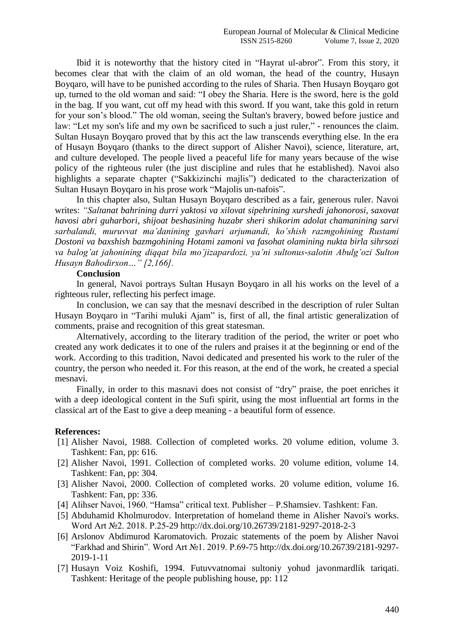Ibid it is noteworthy that the history cited in "Hayrat ul-abror". From this story, it becomes clear that with the claim of an old woman, the head of the country, Husayn Boyqaro, will have to be punished according to the rules of Sharia. Then Husayn Boyqaro got up, turned to the old woman and said: "I obey the Sharia. Here is the sword, here is the gold in the bag. If you want, cut off my head with this sword. If you want, take this gold in return for your son's blood." The old woman, seeing the Sultan's bravery, bowed before justice and law: "Let my son's life and my own be sacrificed to such a just ruler," - renounces the claim. Sultan Husayn Boyqaro proved that by this act the law transcends everything else. In the era of Husayn Boyqaro (thanks to the direct support of Alisher Navoi), science, literature, art, and culture developed. The people lived a peaceful life for many years because of the wise policy of the righteous ruler (the just discipline and rules that he established). Navoi also highlights a separate chapter ("Sakkizinchi majlis") dedicated to the characterization of Sultan Husayn Boyqaro in his prose work "Majolis un-nafois".

In this chapter also, Sultan Husayn Boyqaro described as a fair, generous ruler. Navoi writes: *"Saltanat bahrining durri yaktosi va xilovat sipehrining xurshedi jahonorosi, saxovat havosi abri guharbori, shijoat beshasining huzabr sheri shikorim adolat chamanining sarvi sarbalandi, muruvvat ma'danining gavhari arjumandi, ko'shish razmgohining Rustami Dostoni va baxshish bazmgohining Hotami zamoni va fasohat olamining nukta birla sihrsozi va balog'at jahonining diqqat bila mo'jizapardozi, ya'ni sultonus-salotin Abulg'ozi Sulton Husayn Bahodirxon…" [2,166].*

#### **Conclusion**

In general, Navoi portrays Sultan Husayn Boyqaro in all his works on the level of a righteous ruler, reflecting his perfect image.

In conclusion, we can say that the mesnavi described in the description of ruler Sultan Husayn Boyqaro in "Tarihi muluki Ajam" is, first of all, the final artistic generalization of comments, praise and recognition of this great statesman.

Alternatively, according to the literary tradition of the period, the writer or poet who created any work dedicates it to one of the rulers and praises it at the beginning or end of the work. According to this tradition, Navoi dedicated and presented his work to the ruler of the country, the person who needed it. For this reason, at the end of the work, he created a special mesnavi.

Finally, in order to this masnavi does not consist of "dry" praise, the poet enriches it with a deep ideological content in the Sufi spirit, using the most influential art forms in the classical art of the East to give a deep meaning - a beautiful form of essence.

### **References:**

- [1] Alisher Navoi, 1988. Collection of completed works. 20 volume edition, volume 3. Tashkent: Fan, pp: 616.
- [2] Alisher Navoi, 1991. Collection of completed works. 20 volume edition, volume 14. Tashkent: Fan, pp: 304.
- [3] Alisher Navoi, 2000. Collection of completed works. 20 volume edition, volume 16. Tashkent: Fan, pp: 336.
- [4] Alihser Navoi, 1960. "Hamsa" critical text. Publisher P.Shamsiev. Tashkent: Fan.
- [5] Abduhamid Kholmurodov. Interpretation of homeland theme in Alisher Navoi's works. Word Art №2. 2018. P.25-29 http://dx.doi.org/10.26739/2181-9297-2018-2-3
- [6] Arslonov Abdimurod Karomatovich. Prozaic statements of the poem by Alisher Navoi "Farkhad and Shirin". Word Art №1. 2019. P.69-75 http://dx.doi.org/10.26739/2181-9297- 2019-1-11
- [7] Husayn Voiz Koshifi, 1994. Futuvvatnomai sultoniy yohud javonmardlik tariqati. Tashkent: Heritage of the people publishing house, pp: 112